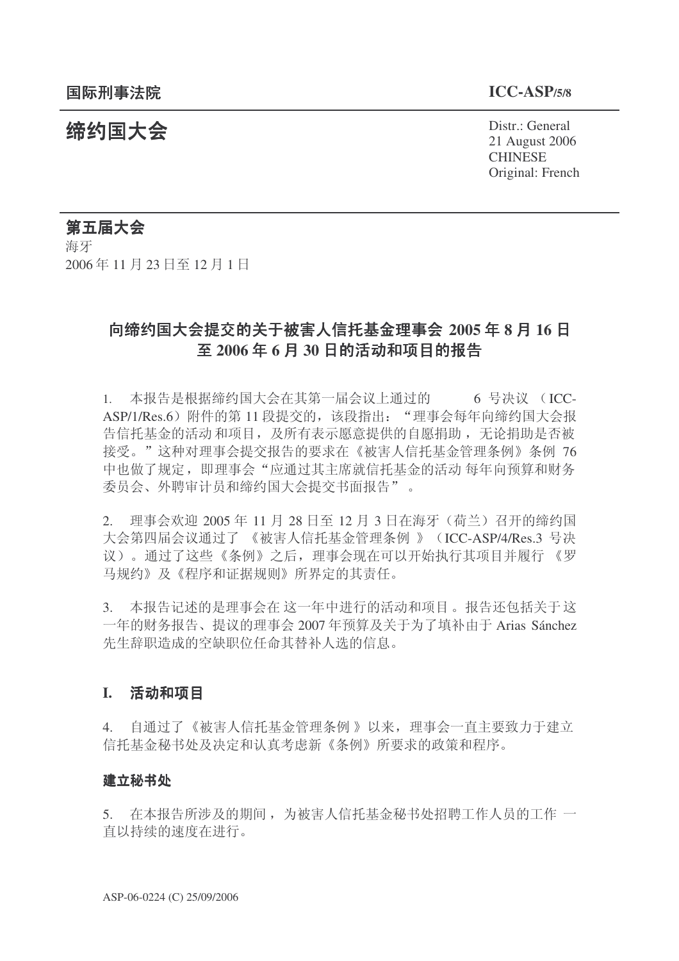结构国大会 Pistr.: General 21 August 2006 **CHINESE** Original: French

第五届大会 海牙 2006年11月23日至12月1日

# 向缔约国大会提交的关于被害人信托基金理事会 2005 年 8 月 16 日 至 2006年6月30日的活动和项目的报告

1. 本报告是根据缔约国大会在其第一届会议上通过的 6 号决议 (ICC-ASP/1/Res.6) 附件的第 11 段提交的, 该段指出: "理事会每年向缔约国大会报 告信托基金的活动和项目, 及所有表示愿意提供的自愿捐助, 无论捐助是否被 接受。"这种对理事会提交报告的要求在《被害人信托基金管理条例》条例 76 中也做了规定,即理事会"应通过其主席就信托基金的活动每年向预算和财务 委员会、外聘审计员和缔约国大会提交书面报告"。

2. 理事会欢迎 2005年11月 28 日至 12 月 3 日在海牙 (荷兰) 召开的缔约国 大会第四届会议通过了《被害人信托基金管理条例》 (ICC-ASP/4/Res.3 号决 议)。通过了这些《条例》之后,理事会现在可以开始执行其项目并履行 《罗 马规约》及《程序和证据规则》所界定的其责任。

3. 本报告记述的是理事会在这一年中进行的活动和项目。报告还包括关于这 一年的财务报告、提议的理事会 2007 年预算及关于为了填补由于 Arias Sánchez 先生辞职造成的空缺职位任命其替补人选的信息。

## **I.** 活动和项目

4. 自通过了《被害人信托基金管理条例》以来, 理事会一直主要致力于建立 信托基金秘书处及决定和认真考虑新《条例》所要求的政策和程序。

#### 建立秘书处

5. 在本报告所涉及的期间,为被害人信托基金秘书处招聘工作人员的工作一 直以持续的速度在进行。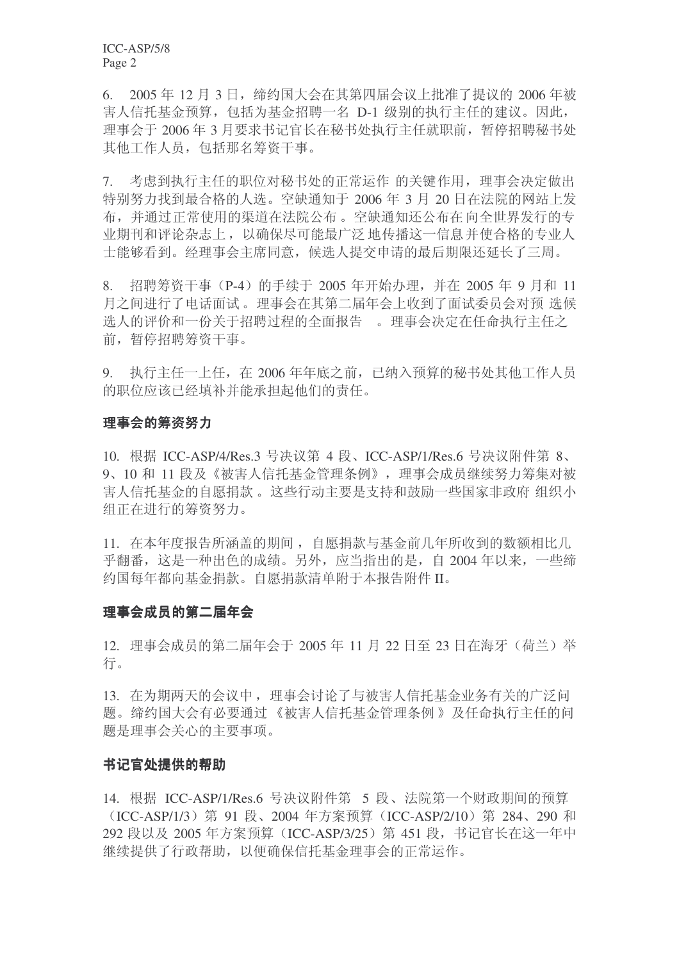$6.$  2005 年 12 月 3 日, 缔约国大会在其第四届会议上批准了提议的 2006 年被 害人信托基金预算, 包括为基金招聘一名 D-1 级别的执行主任的建议。因此, 理事会于 2006 年 3 月要求书记官长在秘书处执行主任就职前, 暂停招聘秘书处 其他工作人员, 包括那名筹资干事。

7. 考虑到执行主任的职位对秘书处的正常运作 的关键作用, 理事会决定做出 特别努力找到最合格的人选。空缺通知于 2006 年 3 月 20 日在法院的网站上发 布,并通过正常使用的渠道在法院公布。空缺通知还公布在向全世界发行的专 业期刊和评论杂志上, 以确保尽可能最广泛 地传播这一信息并使合格的专业人 士能够看到。经理事会主席同意,候选人提交申请的最后期限还延长了三周。

8. 招聘筹资于事 (P-4) 的手续干 2005 年开始办理, 并在 2005 年 9 月和 11 月之间进行了电话面试。理事会在其第二届年会上收到了面试委员会对预 选候 选人的评价和一份关于招聘过程的全面报告。 理事会决定在任命执行主任之 前,暂停招聘筹资干事。

9. 执行主任一上任, 在 2006年年底之前, 已纳入预算的秘书处其他工作人员 的职位应该已经填补并能承担起他们的责任。

### 理事会的筹资努力

10. 根据 ICC-ASP/4/Res.3 号决议第 4 段、ICC-ASP/1/Res.6 号决议附件第 8、 9、10 和 11 段及《被害人信托基金管理条例》, 理事会成员继续努力筹集对被 害人信托基金的自愿捐款。这些行动主要是支持和鼓励一些国家非政府 组织小 组正在进行的筹资努力。

11. 在本年度报告所涵盖的期间, 自愿捐款与基金前几年所收到的数额相比几 平翻番, 这是一种出色的成绩。另外, 应当指出的是, 自 2004 年以来, 一些缔 约国每年都向基金捐款。自愿捐款清单附于本报告附件II。

#### 理事会成员的第二届年会

12. 理事会成员的第二届年会于 2005 年 11 月 22 日至 23 日在海牙 (荷兰) 举 行。

13. 在为期两天的会议中, 理事会讨论了与被害人信托基金业务有关的广泛问 题。缔约国大会有必要通过《被害人信托基金管理条例》及任命执行主任的问 题是理事会关心的主要事项。

### 书记官处提供的帮助

14. 根据 ICC-ASP/1/Res.6 号决议附件第 5 段、法院第一个财政期间的预算 (ICC-ASP/1/3) 第 91 段、2004 年方案预算 (ICC-ASP/2/10) 第 284、290 和 292 段以及 2005 年方案预算 (ICC-ASP/3/25) 第 451 段, 书记官长在这一年中 继续提供了行政帮助,以便确保信托基金理事会的正常运作。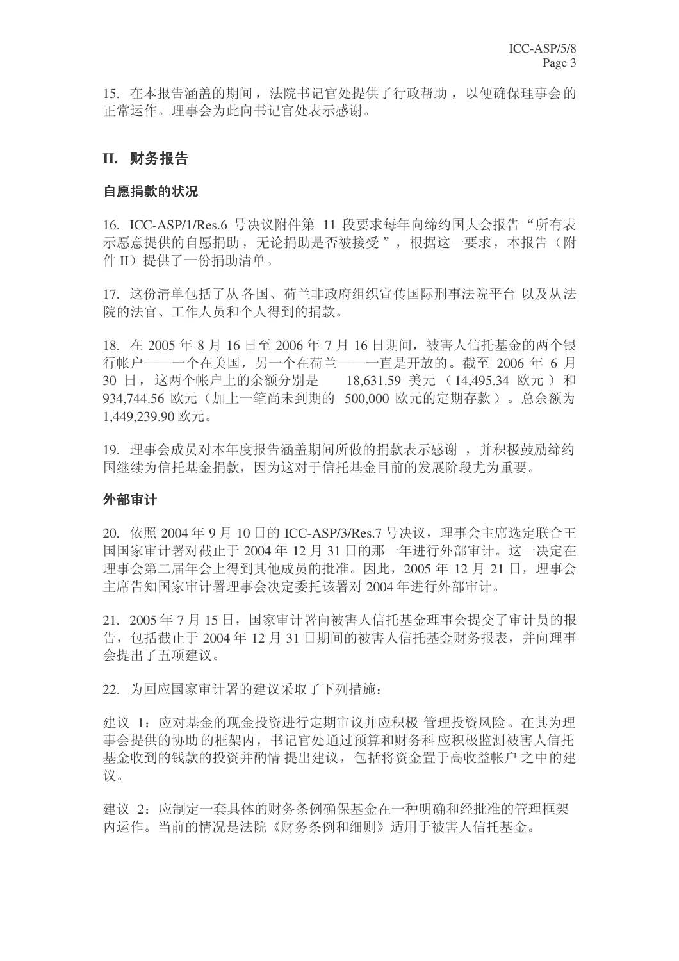15. 在本报告涵盖的期间, 法院书记官处提供了行政帮助, 以便确保理事会的 正常运作。理事会为此向书记官处表示感谢。

## **II.** 财务报告

#### 自愿捐款的状况

16. ICC-ASP/1/Res.6 号决议附件第 11 段要求每年向缔约国大会报告"所有表 示愿意提供的自愿捐助,无论捐助是否被接受",根据这一要求,本报告(附 件 II) 提供了一份捐助清单。

17. 这份清单包括了从各国、荷兰非政府组织宣传国际刑事法院平台以及从法 院的法官、工作人员和个人得到的捐款。

18. 在 2005年8月16日至 2006年7月16日期间, 被害人信托基金的两个银 行帐户——一个在美国,另一个在荷兰——一直是开放的。截至 2006 年 6 月 30 日, 这两个帐户上的余额分别是 18.631.59 美元 (14.495.34 欧元) 和 934,744.56 欧元(加上一笔尚未到期的 500,000 欧元的定期存款)。总余额为 1,449,239.90  $\overline{\mathbb{K}}$   $\overline{\pi}$ .

19. 理事会成员对本年度报告涵盖期间所做的捐款表示感谢, 并积极鼓励缔约 国继续为信托基金捐款,因为这对于信托基金目前的发展阶段尤为重要。

#### 外部审计

20. 依照 2004年9月10日的 ICC-ASP/3/Res.7 号决议, 理事会主席选定联合王 国国家审计署对截止于 2004年 12 月 31 日的那一年讲行外部审计。这一决定在 理事会第二届年会上得到其他成员的批准。因此, 2005年12月21日, 理事会 主席告知国家审计署理事会决定委托该署对 2004 年讲行外部审计。

21. 2005年7月15日,国家审计署向被害人信托基金理事会提交了审计员的报 告, 包括截止于 2004年12月31日期间的被害人信托基金财务报表, 并向理事 会提出了五项建议。

22. 为回应国家审计署的建议采取了下列措施:

建议 1: 应对基金的现金投资进行定期审议并应积极 管理投资风险。在其为理 事会提供的协助的框架内,书记官处通过预算和财务科应积极监测被害人信托 基金收到的钱款的投资并酌情 提出建议, 包括将资金置于高收益帐户之中的建 议。

建议 2: 应制定一套具体的财务条例确保基金在一种明确和经批准的管理框架 内运作。当前的情况是法院《财务条例和细则》适用于被害人信托基金。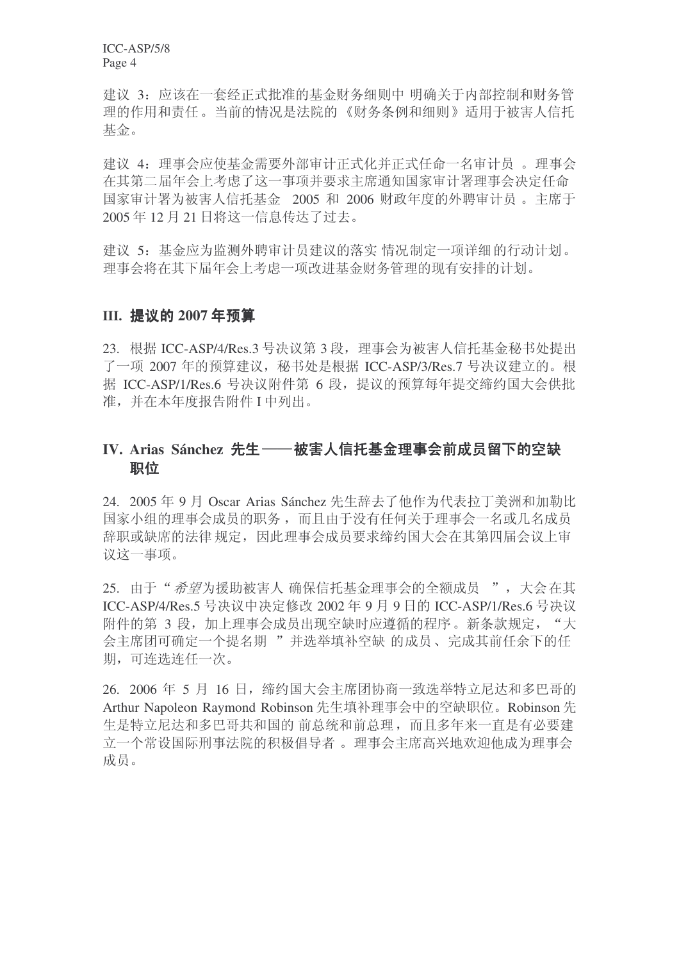建议 3: 应该在一套经正式批准的基金财务细则中 明确关于内部控制和财务管 理的作用和责任。当前的情况是法院的《财务条例和细则》适用于被害人信托 基金。

建议 4: 理事会应使基金需要外部审计正式化并正式任命一名审计员。理事会 在其第二届年会上考虑了这一事项并要求主席通知国家审计署理事会决定任命 国家审计署为被害人信托基金 2005 和 2006 财政年度的外聘审计员。主席于 2005年12月21日将这一信息传达了过去。

建议 5: 基金应为监测外聘审计员建议的落实 情况制定一项详细的行动计划。 理事会将在其下届年会上考虑一项改进基金财务管理的现有安排的计划。

## **III. 提议的 2007年预算**

23. 根据 ICC-ASP/4/Res.3 号决议第 3 段, 理事会为被害人信托基金秘书处提出 了一项 2007 年的预算建议,秘书处是根据 ICC-ASP/3/Res.7 号决议建立的。根 据 ICC-ASP/1/Res.6 号决议附件第 6 段, 提议的预算每年提交缔约国大会供批 准,并在本年度报告附件 I 中列出。

## IV. Arias Sánchez 先生——被害人信托基金理事会前成员留下的空缺 职位

24. 2005 年 9 月 Oscar Arias Sánchez 先生辞去了他作为代表拉丁美洲和加勒比 国家小组的理事会成员的职务,而且由于没有任何关于理事会一名或几名成员 辞职或缺席的法律规定,因此理事会成员要求缔约国大会在其第四届会议上审 议这一事项。

25. 由于"希望为援助被害人 确保信托基金理事会的全额成员 ", 大会在其 ICC-ASP/4/Res.5 号决议中决定修改 2002 年 9 月 9 日的 ICC-ASP/1/Res.6 号决议 附件的第 3 段, 加上理事会成员出现空缺时应遵循的程序。新条款规定, "大 会主席团可确定一个提名期 "并选举填补空缺 的成员、完成其前任余下的任 期,可连选连任一次。

26. 2006 年 5 月 16 日, 缔约国大会主席团协商一致选举特立尼达和多巴哥的 Arthur Napoleon Raymond Robinson 先生填补理事会中的空缺职位。Robinson 先 生是特立尼达和多巴哥共和国的 前总统和前总理, 而且多年来一直是有必要建 立一个常设国际刑事法院的积极倡导者。 理事会主席高兴地欢迎他成为理事会 成员。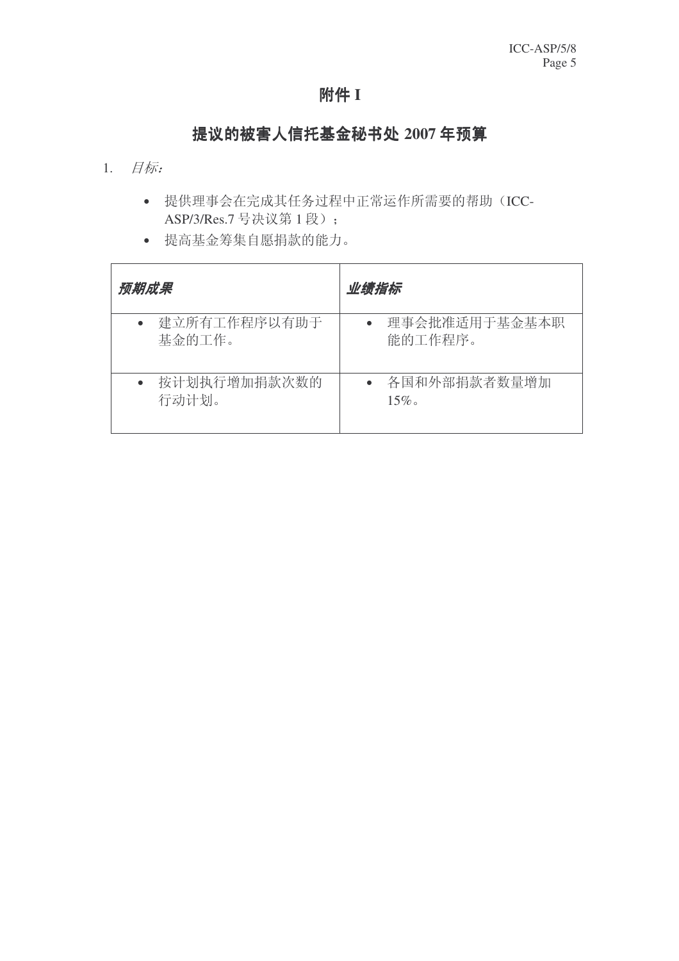## 附件 I

# 提议的被害人信托基金秘书处 2007 年预算

- $1.$   $#$ 标
	- 提供理事会在完成其任务过程中正常运作所需要的帮助(ICC-ASP/3/Res.7 号决议第1段);
	- 提高基金筹集自愿捐款的能力。

| 预期成果         | 业绩指标          |
|--------------|---------------|
| 建立所有工作程序以有助于 | 理事会批准适用于基金基本职 |
| 基金的工作。       | 能的工作程序。       |
| 按计划执行增加捐款次数的 | 各国和外部捐款者数量增加  |
| 行动计划。        | $15\%$        |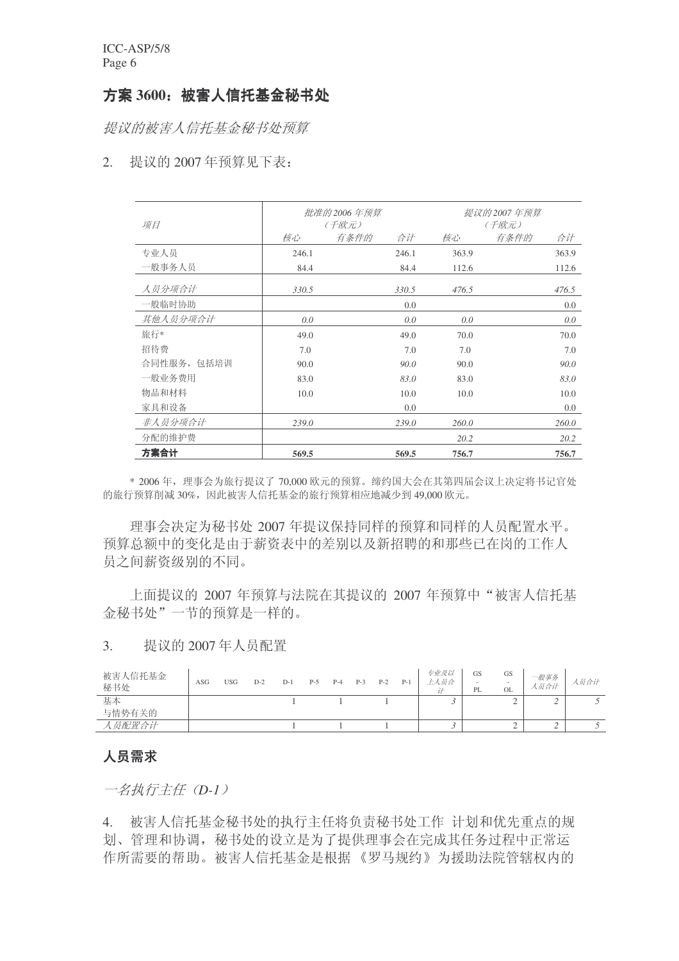## 方案 3600: 被害人信托基金秘书处

提议的被害人信托基金秘书处预算

## 2. 提议的 2007 年预算见下表:

| 项目          | 批准的 2006 年预算<br>(千欧元) |      | 提议的2007年预算<br>(千欧元) |       |      |       |
|-------------|-----------------------|------|---------------------|-------|------|-------|
|             | 核心                    | 有条件的 | 合计                  | 核心    | 有条件的 | 合计    |
| 专业人员        | 246.1                 |      | 246.1               | 363.9 |      | 363.9 |
| 一般事务人员      | 84.4                  |      | 84.4                | 112.6 |      | 112.6 |
| 人员分项合计      | 330.5                 |      | 330.5               | 476.5 |      | 476.5 |
| 一般临时协助      |                       |      | 0.0                 |       |      | 0.0   |
| 其他人员分项合计    | 0.0                   |      | 0.0                 | 0.0   |      | 0.0   |
| 旅行*         | 49.0                  |      | 49.0                | 70.0  |      | 70.0  |
| 招待费         | 7.0                   |      | 7.0                 | 7.0   |      | 7.0   |
| 合同性服务, 包括培训 | 90.0                  |      | 90.0                | 90.0  |      | 90.0  |
| 一般业务费用      | 83.0                  |      | 83.0                | 83.0  |      | 83.0  |
| 物品和材料       | 10.0                  |      | 10.0                | 10.0  |      | 10.0  |
| 家具和设备       |                       |      | 0.0                 |       |      | 0.0   |
| 非人员分项合计     | 239.0                 |      | 239.0               | 260.0 |      | 260.0 |
| 分配的维护费      |                       |      |                     | 20.2  |      | 20.2  |
| 方案合计        | 569.5                 |      | 569.5               | 756.7 |      | 756.7 |

\* 2006年, 理事会为旅行提议了 70,000 欧元的预算。缔约国大会在其第四届会议上决定将书记官处 的旅行预算削减 30%, 因此被害人信托基金的旅行预算相应地减少到 49,000 欧元。

理事会决定为秘书处 2007 年提议保持同样的预算和同样的人员配置水平。 预算总额中的变化是由于薪资表中的差别以及新招聘的和那些已在岗的工作人 员之间薪资级别的不同。

上面提议的 2007 年预算与法院在其提议的 2007 年预算中"被害人信托基 金秘书处"一节的预算是一样的。

## 3. 提议的 2007年人员配置

| 被害人信托基金<br>秘书处 | ASG | USG | $D-2$ | D-1 | $P-5$ | $P-4$ | $P-3$ | $P-2$ | $P-1$ | 专业及以<br>上人员合 | GS<br>$\overline{\phantom{a}}$<br>PL | <b>GS</b><br>$\sim$<br><b>OL</b> | 一般事务<br>人员合计 | 人员合计 |
|----------------|-----|-----|-------|-----|-------|-------|-------|-------|-------|--------------|--------------------------------------|----------------------------------|--------------|------|
| 基本             |     |     |       |     |       |       |       |       |       |              |                                      | ∽                                | ∸            |      |
| 与情势有关的         |     |     |       |     |       |       |       |       |       |              |                                      |                                  |              |      |
| 员配置合计          |     |     |       |     |       |       |       |       |       |              |                                      | ∼                                | ∸            |      |

## 人员需求

一名执行主任 (D-1)

4. 被害人信托基金秘书处的执行主任将负责秘书处工作 计划和优先重点的规 划、管理和协调, 秘书处的设立是为了提供理事会在完成其任务过程中正常运 作所需要的帮助。被害人信托基金是根据《罗马规约》为援助法院管辖权内的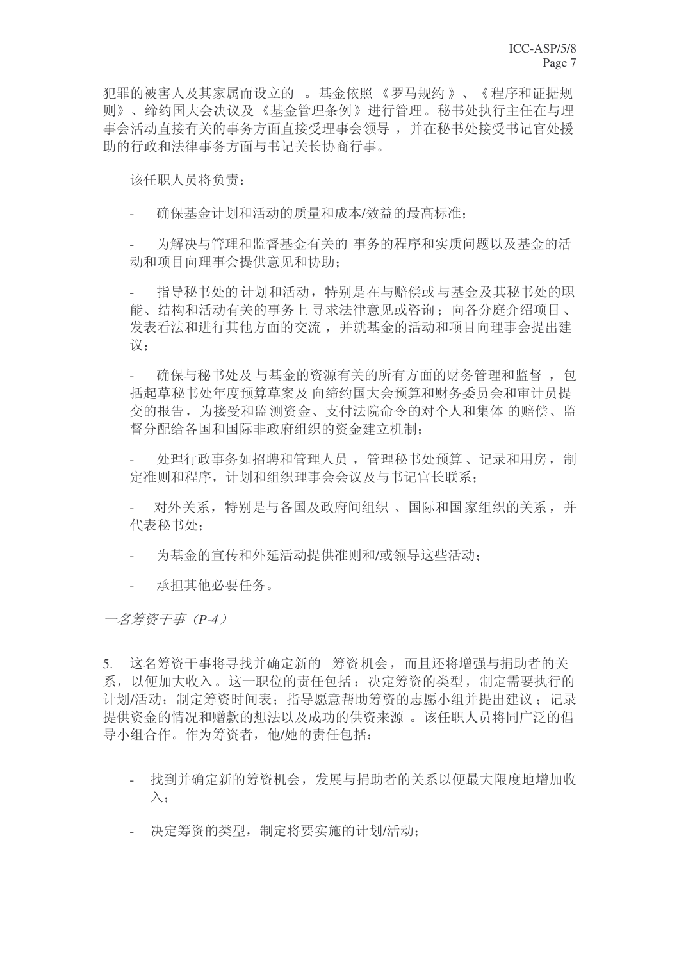犯罪的被害人及其家属而设立的 。基金依照 《罗马规约 》、《程序和证据规 则》、缔约国大会决议及《基金管理条例》讲行管理。秘书处执行主任在与理 事会活动直接有关的事务方面直接受理事会领导, 并在秘书处接受书记官处援 助的行政和法律事务方面与书记关长协商行事。

该任职人员将负责:

确保基金计划和活动的质量和成本/效益的最高标准:

为解决与管理和监督基金有关的 事务的程序和实质问题以及基金的活 动和项目向理事会提供意见和协助:

指导秘书处的计划和活动,特别是在与赔偿或与基金及其秘书处的职 能、结构和活动有关的事务上寻求法律意见或咨询: 向各分庭介绍项目、 发表看法和进行其他方面的交流,并就基金的活动和项目向理事会提出建 议:

确保与秘书处及 与基金的资源有关的所有方面的财务管理和监督, 句 括起草秘书处年度预算草案及向缔约国大会预算和财务委员会和审计员提 交的报告,为接受和监测资金、支付法院命令的对个人和集体的赔偿、监 督分配给各国和国际非政府组织的资金建立机制:

处理行政事务如招聘和管理人员, 管理秘书处预算、记录和用房, 制 定准则和程序, 计划和组织理事会会议及与书记官长联系:

对外关系, 特别是与各国及政府间组织、国际和国家组织的关系, 并 代表秘书处:

- 为基金的宣传和外延活动提供准则和/或领导这些活动;
- 承担其他必要仟务。

一名筹资于事 (P-4)

5. 这名筹资干事将寻找并确定新的 筹资机会,而且还将增强与捐助者的关 系, 以便加大收入。这一职位的责任包括: 决定筹资的类型, 制定需要执行的 计划/活动: 制定筹资时间表; 指导愿意帮助筹资的志愿小组并提出建议; 记录 提供资金的情况和赠款的想法以及成功的供资来源。 该任职人员将同广泛的倡 导小组合作。作为筹资者, 他/她的责任包括:

- 找到并确定新的筹资机会, 发展与捐助者的关系以便最大限度地增加收  $\lambda$ :
- 决定筹资的类型, 制定将要实施的计划/活动: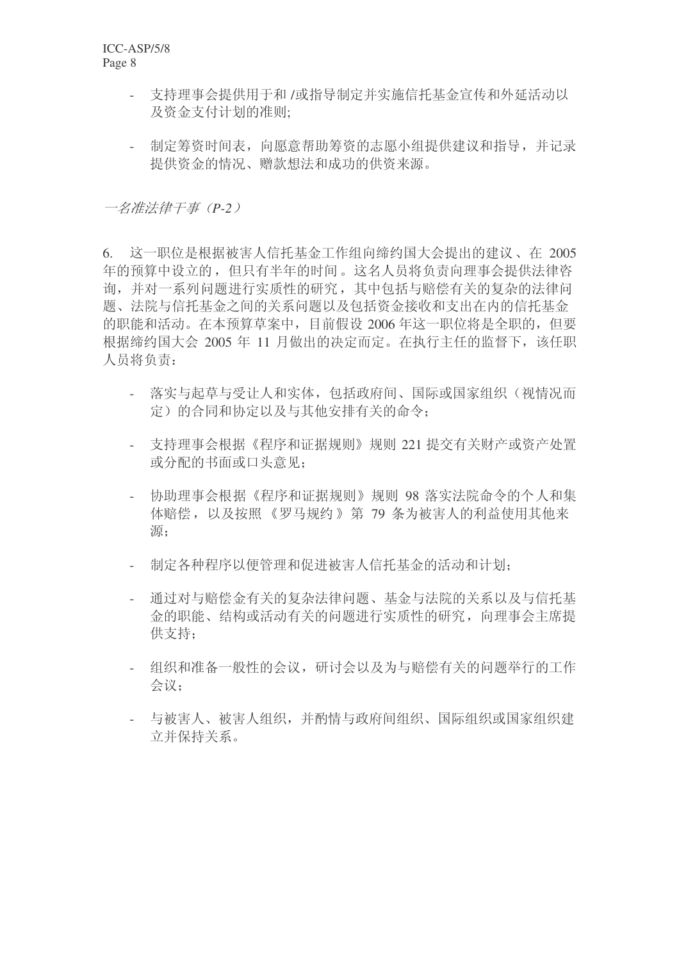- 支持理事会提供用于和/或指导制定并实施信托基金宣传和外延活动以 及资金支付计划的准则:
- 制定筹资时间表, 向愿意帮助筹资的志愿小组提供建议和指导, 并记录 提供资金的情况、赠款想法和成功的供资来源。

一名准法律干事 (P-2)

6. 这一职位是根据被害人信托基金工作组向缔约国大会提出的建议、在 2005 年的预算中设立的,但只有半年的时间。这名人员将负责向理事会提供法律咨 询,并对一系列问题讲行实质性的研究,其中包括与赔偿有关的复杂的法律问 题、法院与信托基金之间的关系问题以及包括资金接收和支出在内的信托基金 的职能和活动。在本预算草案中,目前假设 2006 年这一职位将是全职的, 但要 根据缔约国大会 2005 年 11 月做出的决定而定。在执行主任的监督下, 该任职 人员将负责:

- 落实与起草与受让人和实体, 包括政府间、国际或国家组织(视情况而 定)的合同和协定以及与其他安排有关的命令;
- 支持理事会根据《程序和证据规则》规则 221 提交有关财产或资产处置 或分配的书面或口头意见;
- 协助理事会根据《程序和证据规则》规则 98 落实法院命令的个人和集 体赔偿, 以及按照《罗马规约》第 79 条为被害人的利益使用其他来 源:
- 制定各种程序以便管理和促进被害人信托基金的活动和计划;
- 通过对与赔偿金有关的复杂法律问题、基金与法院的关系以及与信托基 金的职能、结构或活动有关的问题进行实质性的研究, 向理事会主席提 供支持:
- 组织和准备一般性的会议,研讨会以及为与赔偿有关的问题举行的工作 会议:
- 与被害人、被害人组织, 并酌情与政府间组织、国际组织或国家组织建 立并保持关系。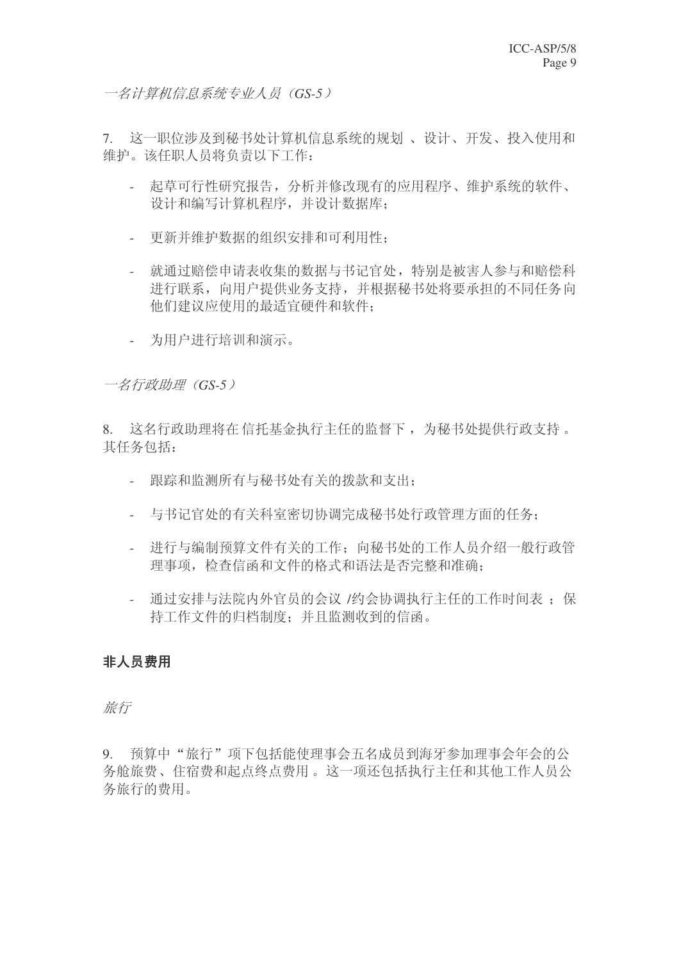一名计算机信息系统专业人员 (GS-5)

7. 这一职位涉及到秘书处计算机信息系统的规划、设计、开发、投入使用和 维护。该任职人员将负责以下工作:

- 起草可行性研究报告, 分析并修改现有的应用程序、维护系统的软件、 设计和编写计算机程序,并设计数据库;
- 更新并维护数据的组织安排和可利用性:
- 就通过赔偿申请表收集的数据与书记官处, 特别是被害人参与和赔偿科 进行联系, 向用户提供业务支持, 并根据秘书处将要承担的不同任务向 他们建议应使用的最适宜硬件和软件:
- 为用户进行培训和演示。

一名行政助理 (GS-5)

8. 这名行政助理将在信托基金执行主任的监督下, 为秘书处提供行政支持。 其任务包括:

- 跟踪和监测所有与秘书处有关的拨款和支出;
- 与书记官处的有关科室密切协调完成秘书处行政管理方面的任务;
- 讲行与编制预算文件有关的工作: 向秘书处的工作人员介绍一般行政管 理事项, 检查信函和文件的格式和语法是否完整和准确;
- 通过安排与法院内外官员的会议 /约会协调执行主任的工作时间表: 保 持工作文件的归档制度: 并且监测收到的信函。

## 非人员费用

旅行

9. 预算中"旅行"项下包括能使理事会五名成员到海牙参加理事会年会的公 务舱旅费、住宿费和起点终点费用。这一项还包括执行主任和其他工作人员公 务旅行的费用。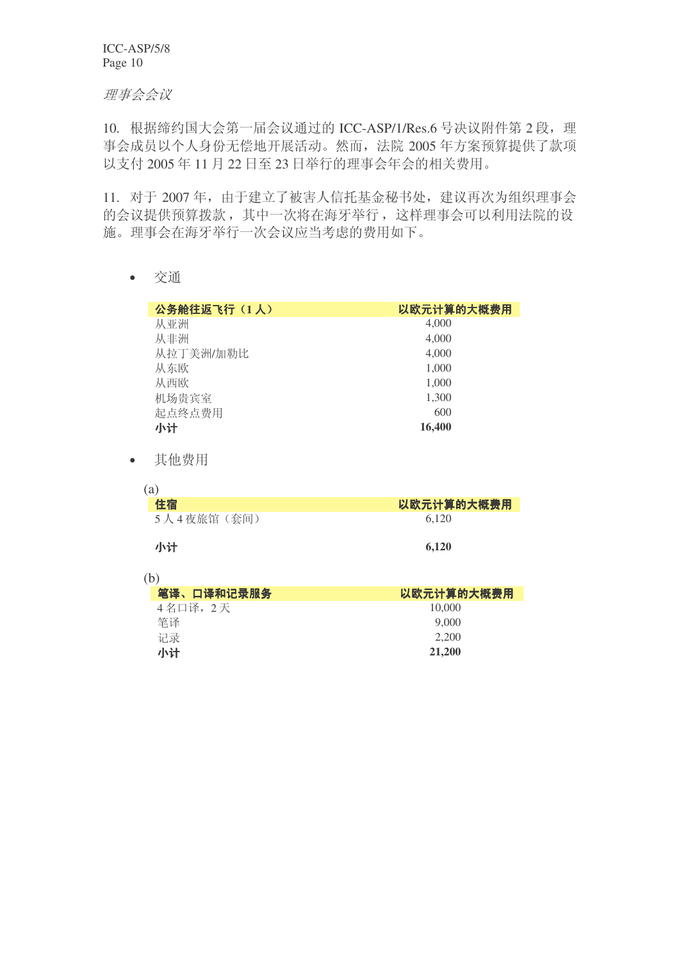理事会会议

10. 根据缔约国大会第一届会议通过的 ICC-ASP/1/Res.6 号决议附件第 2 段, 理 事会成员以个人身份无偿地开展活动。然而, 法院 2005 年方案预算提供了款项 以支付 2005年11月22日至23日举行的理事会年会的相关费用。

11. 对于 2007年, 由于建立了被害人信托基金秘书处, 建议再次为组织理事会 的会议提供预算拨款, 其中一次将在海牙举行, 这样理事会可以利用法院的设 施。理事会在海牙举行一次会议应当考虑的费用如下。

• 交通

| 公务舱往返飞行(1人) | 以欧元计算的大概费用 |
|-------------|------------|
| 从亚洲         | 4,000      |
| 从非洲         | 4,000      |
| 从拉丁美洲/加勒比   | 4,000      |
| 从东欧         | 1,000      |
| 从西欧         | 1,000      |
| 机场贵宾室       | 1,300      |
| 起点终点费用      | 600        |
| 小计          | 16,400     |

• 其他费用

| (a)        |            |
|------------|------------|
| 住宿         | 以欧元计算的大概费用 |
| 5人4夜旅馆(套间) | 6.120      |
| 小计         | 6.120      |

(b)

| 笔译、口译和记录服务 | 以欧元计算的大概费用 |
|------------|------------|
| 4名口译, 2天   | 10,000     |
| 筆译         | 9,000      |
| 记录         | 2.200      |
| 小计         | 21,200     |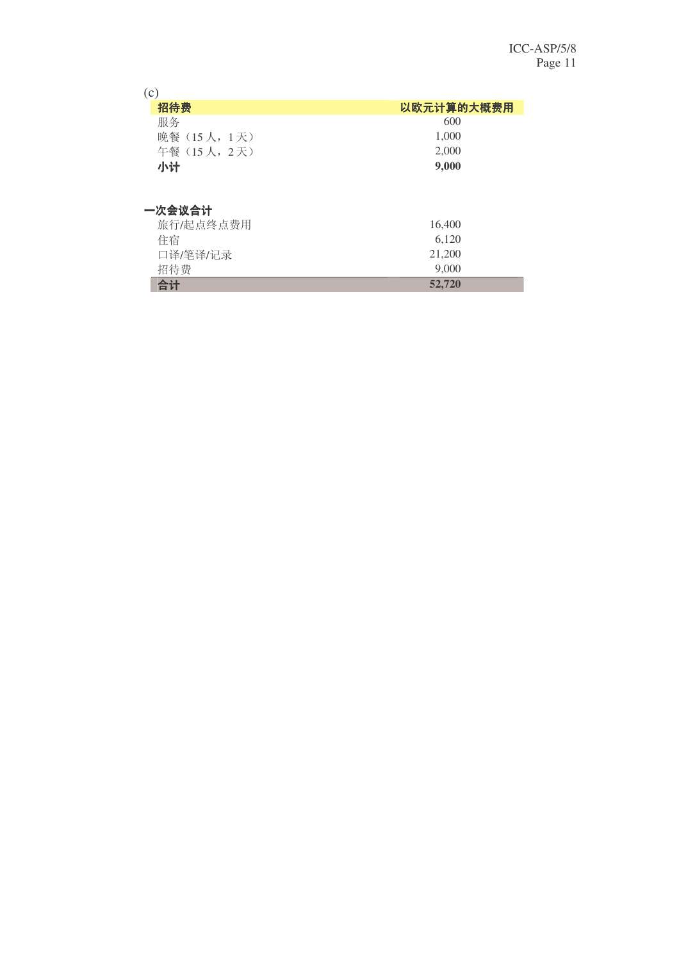| (c)          |            |
|--------------|------------|
| 招待费          | 以欧元计算的大概费用 |
| 服务           | 600        |
| 晚餐 (15人, 1天) | 1,000      |
| 午餐 (15人, 2天) | 2,000      |
| 小计           | 9,000      |
| 一次会议合计       |            |
| 旅行/起点终点费用    | 16,400     |
| 住宿           | 6,120      |
| 口译/笔译/记录     | 21,200     |
| 招待费          | 9,000      |

**合计** 52,720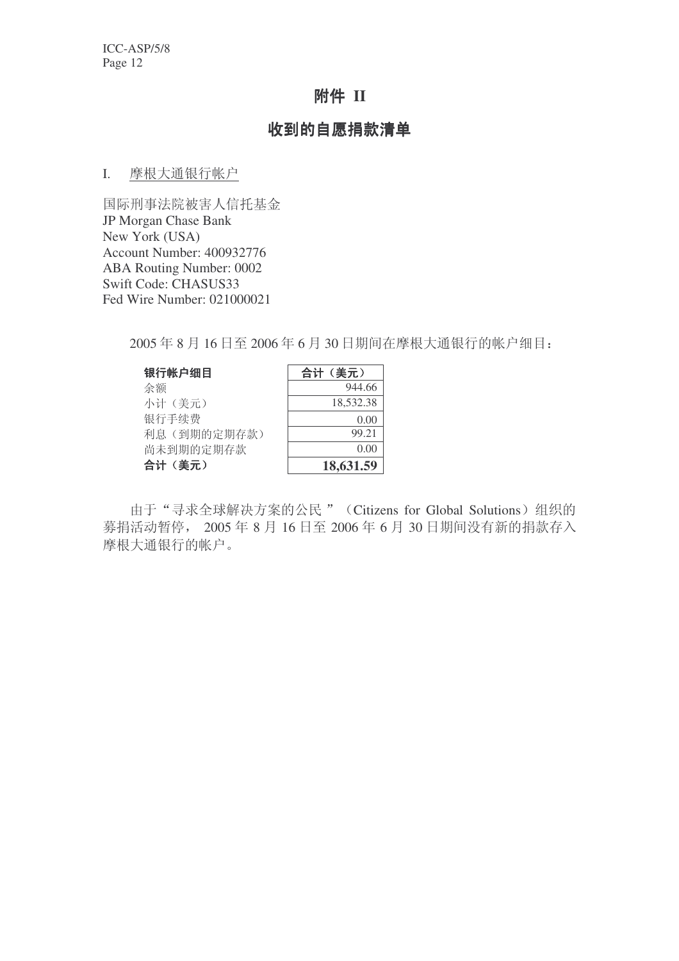# 附件 II

## 收到的自愿捐款清单

### I. 摩根大通银行帐户

国际刑事法院被害人信托基金 JP Morgan Chase Bank New York (USA) Account Number: 400932776 ABA Routing Number: 0002 Swift Code: CHASUS33 Fed Wire Number: 021000021

2005年8月16日至2006年6月30日期间在摩根大通银行的帐户细目:

| 银行帐户细目      | 合计(美元)    |
|-------------|-----------|
| 余额          | 944.66    |
| 小计(美元)      | 18,532.38 |
| 银行手续费       | 0.00      |
| 利息(到期的定期存款) | 99.21     |
| 尚未到期的定期存款   | ()()()    |
| 合计(美元)      | 18,631.59 |

由于"寻求全球解决方案的公民" (Citizens for Global Solutions) 组织的 募捐活动暂停, 2005年8月16日至 2006年6月30日期间没有新的捐款存入 摩根大通银行的帐户。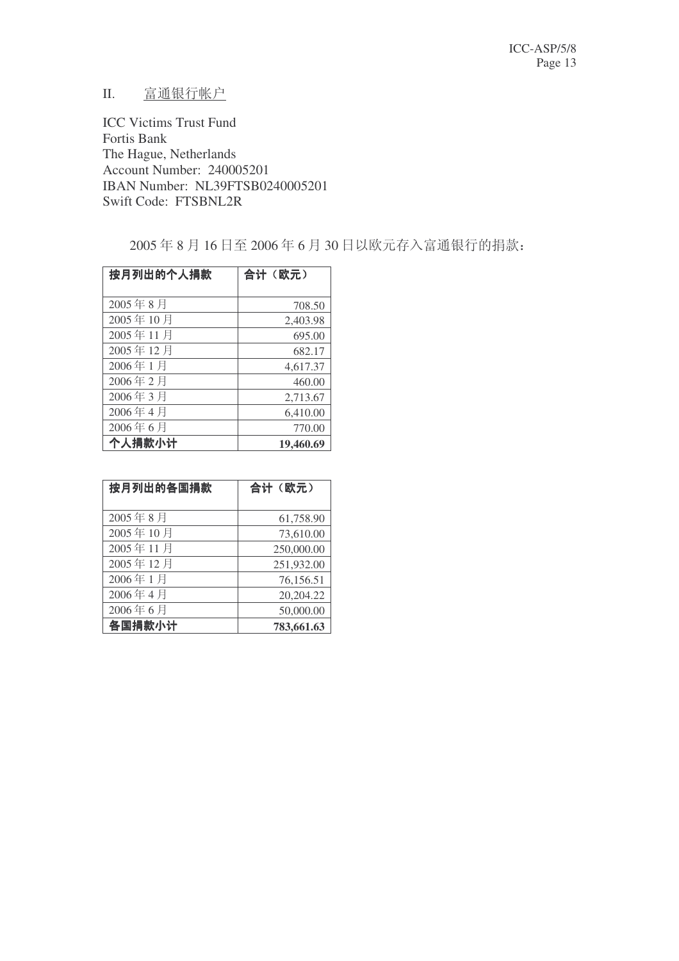## II. 富通银行帐户

ICC Victims Trust Fund Fortis Bank The Hague, Netherlands Account Number: 240005201 IBAN Number: NL39FTSB0240005201 Swift Code: FTSBNL2R

2005年8月16日至2006年6月30日以欧元存入富通银行的捐款:

| 按月列出的个人捐款 | 合计(欧元)    |
|-----------|-----------|
|           |           |
| 2005年8月   | 708.50    |
| 2005年10月  | 2,403.98  |
| 2005年11月  | 695.00    |
| 2005年12月  | 682.17    |
| 2006年1月   | 4,617.37  |
| 2006年2月   | 460.00    |
| 2006年3月   | 2,713.67  |
| 2006年4月   | 6,410.00  |
| 2006年6月   | 770.00    |
| 个人捐款小计    | 19,460.69 |

| 按月列出的各国捐款 | 合计(欧元)     |
|-----------|------------|
|           |            |
| 2005年8月   | 61,758.90  |
| 2005年10月  | 73,610.00  |
| 2005年11月  | 250,000.00 |
| 2005年12月  | 251,932.00 |
| 2006年1月   | 76,156.51  |
| 2006年4月   | 20,204.22  |
| 2006年6月   | 50,000.00  |
| 各国捐款小计    | 783,661.63 |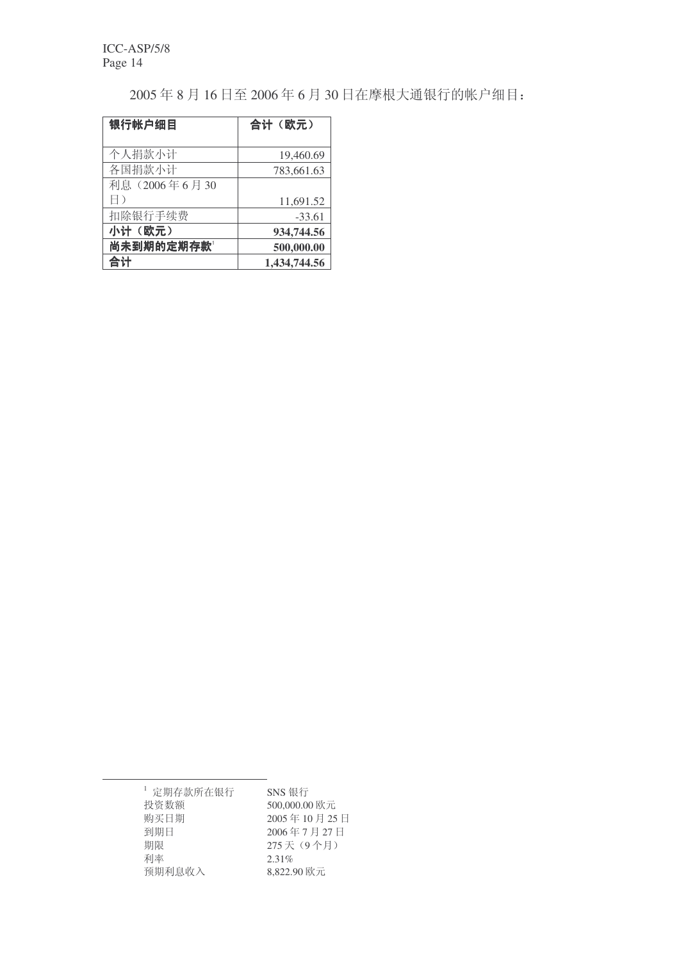2005年8月16日至2006年6月30日在摩根大通银行的帐户细目:

| 银行帐户细目        | 合计(欧元)       |
|---------------|--------------|
| 个人捐款小计        | 19,460.69    |
| 各国捐款小计        | 783,661.63   |
| 利息 (2006年6月30 |              |
| H)            | 11,691.52    |
| 扣除银行手续费       | $-33.61$     |
| 小计(欧元)        | 934,744.56   |
| 尚未到期的定期存款     | 500,000.00   |
| 合计            | 1,434,744.56 |

 $1$  定期存款所在银行<br>投资数额 500,000.00 投资数额 500,000.00 欧元<br>购买日期 2005年10月25 到期日 2006年7月27日<br>期限 275天 (9个月) 利率 2.31%

2005年10月25日 275 天(9个月) 预期利息收入 8,822.90 欧元